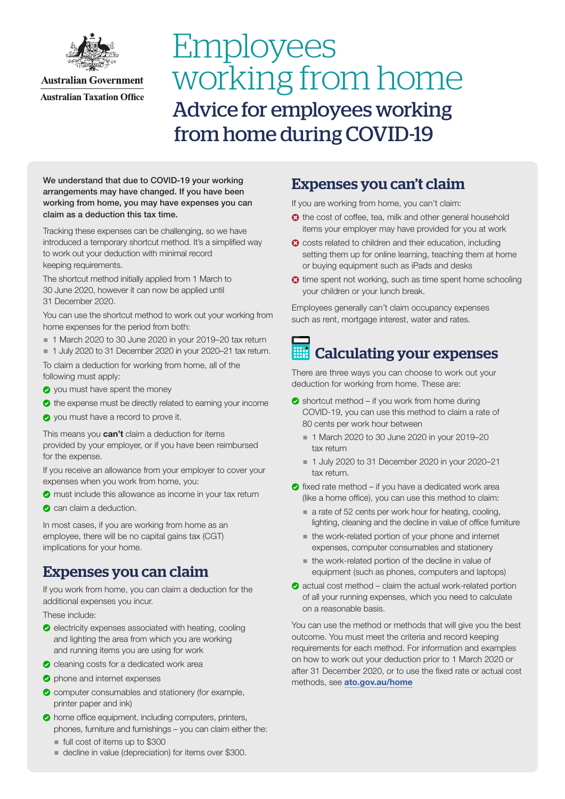

# Employees working from home Advice for employees working from home during COVID-19

We understand that due to COVID-19 your working arrangements may have changed. If you have been working from home, you may have expenses you can claim as a deduction this tax time.

Tracking these expenses can be challenging, so we have introduced a temporary shortcut method. It's a simplified way to work out your deduction with minimal record keeping requirements.

The shortcut method initially applied from 1 March to 30 June 2020, however it can now be applied until 31 December 2020.

You can use the shortcut method to work out your working from home expenses for the period from both:

- 1 March 2020 to 30 June 2020 in your 2019–20 tax return
- 1 July 2020 to 31 December 2020 in your 2020–21 tax return.

To claim a deduction for working from home, all of the following must apply:

- o you must have spent the money
- $\bullet$  the expense must be directly related to earning your income
- **O** you must have a record to prove it.

This means you **can't** claim a deduction for items provided by your employer, or if you have been reimbursed for the expense.

If you receive an allowance from your employer to cover your expenses when you work from home, you:

- **O** must include this allowance as income in your tax return
- can claim a deduction.

In most cases, if you are working from home as an employee, there will be no capital gains tax (CGT) implications for your home.

## Expenses you can claim

If you work from home, you can claim a deduction for the additional expenses you incur.

These include:

- $\bullet$  electricity expenses associated with heating, cooling and lighting the area from which you are working and running items you are using for work
- cleaning costs for a dedicated work area
- **O** phone and internet expenses
- **C** computer consumables and stationery (for example, printer paper and ink)
- $\bullet$  home office equipment, including computers, printers, phones, furniture and furnishings – you can claim either the:
	- full cost of items up to \$300
	- decline in value (depreciation) for items over \$300.

### Expenses you can't claim

If you are working from home, you can't claim:

- <sup>3</sup> the cost of coffee, tea, milk and other general household items your employer may have provided for you at work
- <sup>3</sup> costs related to children and their education, including setting them up for online learning, teaching them at home or buying equipment such as iPads and desks
- **3** time spent not working, such as time spent home schooling your children or your lunch break.

Employees generally can't claim occupancy expenses such as rent, mortgage interest, water and rates.

## Calculating your expenses

There are three ways you can choose to work out your deduction for working from home. These are:

- $\bullet$  shortcut method if you work from home during COVID-19, you can use this method to claim a rate of 80 cents per work hour between
	- 1 March 2020 to 30 June 2020 in your 2019–20 tax return
	- 1 July 2020 to 31 December 2020 in your 2020-21 tax return.
- $\bullet$  fixed rate method if you have a dedicated work area (like a home office), you can use this method to claim:
	- a rate of 52 cents per work hour for heating, cooling, lighting, cleaning and the decline in value of office furniture
	- the work-related portion of your phone and internet expenses, computer consumables and stationery
	- the work-related portion of the decline in value of equipment (such as phones, computers and laptops)
- $\bullet$  actual cost method claim the actual work-related portion of all your running expenses, which you need to calculate on a reasonable basis.

You can use the method or methods that will give you the best outcome. You must meet the criteria and record keeping requirements for each method. For information and examples on how to work out your deduction prior to 1 March 2020 or after 31 December 2020, or to use the fixed rate or actual cost methods, see [ato.gov.au/home](https://www.ato.gov.au/individuals/income-and-deductions/deductions-you-can-claim/home-office-expenses/?=redirected_home)